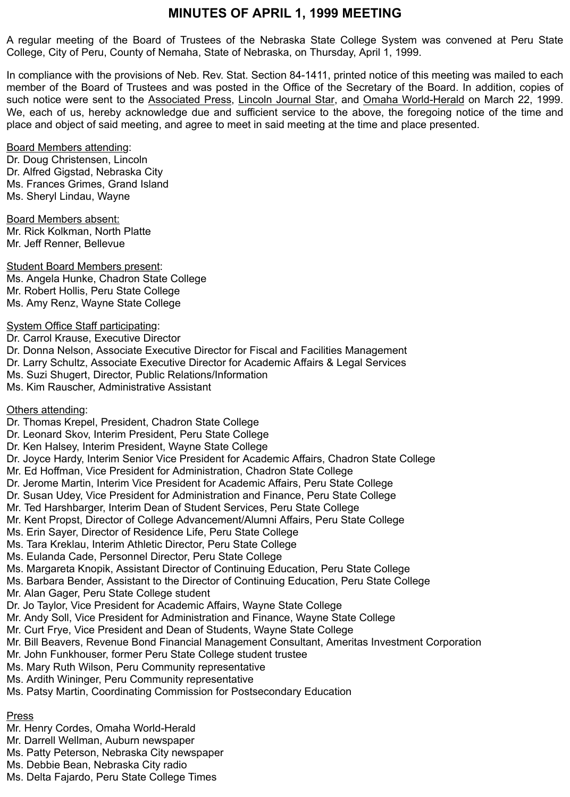# **MINUTES OF APRIL 1, 1999 MEETING**

A regular meeting of the Board of Trustees of the Nebraska State College System was convened at Peru State College, City of Peru, County of Nemaha, State of Nebraska, on Thursday, April 1, 1999.

In compliance with the provisions of Neb. Rev. Stat. Section 84-1411, printed notice of this meeting was mailed to each member of the Board of Trustees and was posted in the Office of the Secretary of the Board. In addition, copies of such notice were sent to the Associated Press, Lincoln Journal Star, and Omaha World-Herald on March 22, 1999. We, each of us, hereby acknowledge due and sufficient service to the above, the foregoing notice of the time and place and object of said meeting, and agree to meet in said meeting at the time and place presented.

### **Board Members attending:**

Dr. Doug Christensen, Lincoln Dr. Alfred Gigstad, Nebraska City Ms. Frances Grimes, Grand Island Ms. Sheryl Lindau, Wayne

Board Members absent: Mr. Rick Kolkman, North Platte Mr. Jeff Renner, Bellevue

Student Board Members present: Ms. Angela Hunke, Chadron State College Mr. Robert Hollis, Peru State College Ms. Amy Renz, Wayne State College

System Office Staff participating:

Dr. Carrol Krause, Executive Director Dr. Donna Nelson, Associate Executive Director for Fiscal and Facilities Management Dr. Larry Schultz, Associate Executive Director for Academic Affairs & Legal Services Ms. Suzi Shugert, Director, Public Relations/Information Ms. Kim Rauscher, Administrative Assistant

#### Others attending:

Dr. Thomas Krepel, President, Chadron State College

- Dr. Leonard Skov, Interim President, Peru State College
- Dr. Ken Halsey, Interim President, Wayne State College
- Dr. Joyce Hardy, Interim Senior Vice President for Academic Affairs, Chadron State College
- Mr. Ed Hoffman, Vice President for Administration, Chadron State College
- Dr. Jerome Martin, Interim Vice President for Academic Affairs, Peru State College
- Dr. Susan Udey, Vice President for Administration and Finance, Peru State College
- Mr. Ted Harshbarger, Interim Dean of Student Services, Peru State College
- Mr. Kent Propst, Director of College Advancement/Alumni Affairs, Peru State College
- Ms. Erin Sayer, Director of Residence Life, Peru State College
- Ms. Tara Kreklau, Interim Athletic Director, Peru State College
- Ms. Eulanda Cade, Personnel Director, Peru State College
- Ms. Margareta Knopik, Assistant Director of Continuing Education, Peru State College
- Ms. Barbara Bender, Assistant to the Director of Continuing Education, Peru State College
- Mr. Alan Gager, Peru State College student
- Dr. Jo Taylor, Vice President for Academic Affairs, Wayne State College
- Mr. Andy Soll, Vice President for Administration and Finance, Wayne State College
- Mr. Curt Frye, Vice President and Dean of Students, Wayne State College
- Mr. Bill Beavers, Revenue Bond Financial Management Consultant, Ameritas Investment Corporation
- Mr. John Funkhouser, former Peru State College student trustee
- Ms. Mary Ruth Wilson, Peru Community representative
- Ms. Ardith Wininger, Peru Community representative
- Ms. Patsy Martin, Coordinating Commission for Postsecondary Education

# Press

- Mr. Henry Cordes, Omaha World-Herald
- Mr. Darrell Wellman, Auburn newspaper
- Ms. Patty Peterson, Nebraska City newspaper
- Ms. Debbie Bean, Nebraska City radio
- Ms. Delta Fajardo, Peru State College Times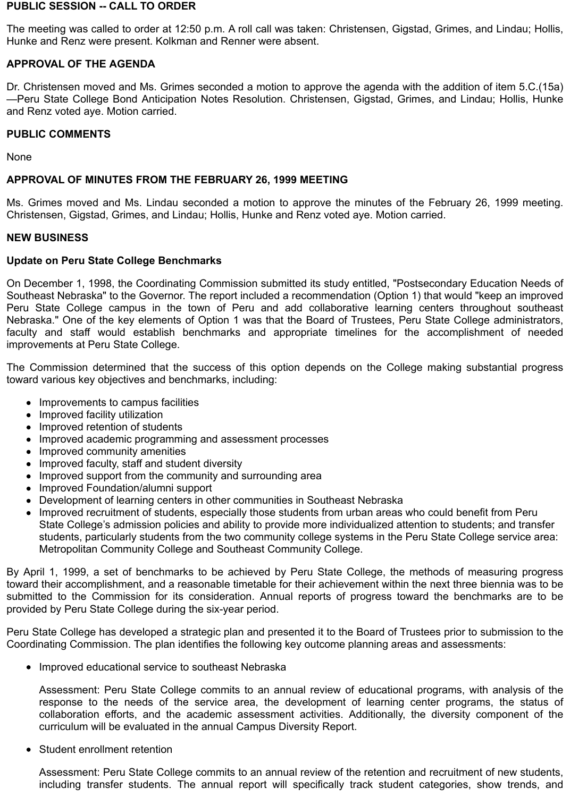### **PUBLIC SESSION -- CALL TO ORDER**

The meeting was called to order at 12:50 p.m. A roll call was taken: Christensen, Gigstad, Grimes, and Lindau; Hollis, Hunke and Renz were present. Kolkman and Renner were absent.

# **APPROVAL OF THE AGENDA**

Dr. Christensen moved and Ms. Grimes seconded a motion to approve the agenda with the addition of item 5.C.(15a) —Peru State College Bond Anticipation Notes Resolution. Christensen, Gigstad, Grimes, and Lindau; Hollis, Hunke and Renz voted aye. Motion carried.

# **PUBLIC COMMENTS**

None

# **APPROVAL OF MINUTES FROM THE FEBRUARY 26, 1999 MEETING**

Ms. Grimes moved and Ms. Lindau seconded a motion to approve the minutes of the February 26, 1999 meeting. Christensen, Gigstad, Grimes, and Lindau; Hollis, Hunke and Renz voted aye. Motion carried.

# **NEW BUSINESS**

# **Update on Peru State College Benchmarks**

On December 1, 1998, the Coordinating Commission submitted its study entitled, "Postsecondary Education Needs of Southeast Nebraska" to the Governor. The report included a recommendation (Option 1) that would "keep an improved Peru State College campus in the town of Peru and add collaborative learning centers throughout southeast Nebraska." One of the key elements of Option 1 was that the Board of Trustees, Peru State College administrators, faculty and staff would establish benchmarks and appropriate timelines for the accomplishment of needed improvements at Peru State College.

The Commission determined that the success of this option depends on the College making substantial progress toward various key objectives and benchmarks, including:

- Improvements to campus facilities
- Improved facility utilization
- Improved retention of students
- Improved academic programming and assessment processes
- Improved community amenities
- Improved faculty, staff and student diversity
- Improved support from the community and surrounding area
- Improved Foundation/alumni support
- Development of learning centers in other communities in Southeast Nebraska
- Improved recruitment of students, especially those students from urban areas who could benefit from Peru State College's admission policies and ability to provide more individualized attention to students; and transfer students, particularly students from the two community college systems in the Peru State College service area: Metropolitan Community College and Southeast Community College.

By April 1, 1999, a set of benchmarks to be achieved by Peru State College, the methods of measuring progress toward their accomplishment, and a reasonable timetable for their achievement within the next three biennia was to be submitted to the Commission for its consideration. Annual reports of progress toward the benchmarks are to be provided by Peru State College during the six-year period.

Peru State College has developed a strategic plan and presented it to the Board of Trustees prior to submission to the Coordinating Commission. The plan identifies the following key outcome planning areas and assessments:

• Improved educational service to southeast Nebraska

Assessment: Peru State College commits to an annual review of educational programs, with analysis of the response to the needs of the service area, the development of learning center programs, the status of collaboration efforts, and the academic assessment activities. Additionally, the diversity component of the curriculum will be evaluated in the annual Campus Diversity Report.

Student enrollment retention

Assessment: Peru State College commits to an annual review of the retention and recruitment of new students, including transfer students. The annual report will specifically track student categories, show trends, and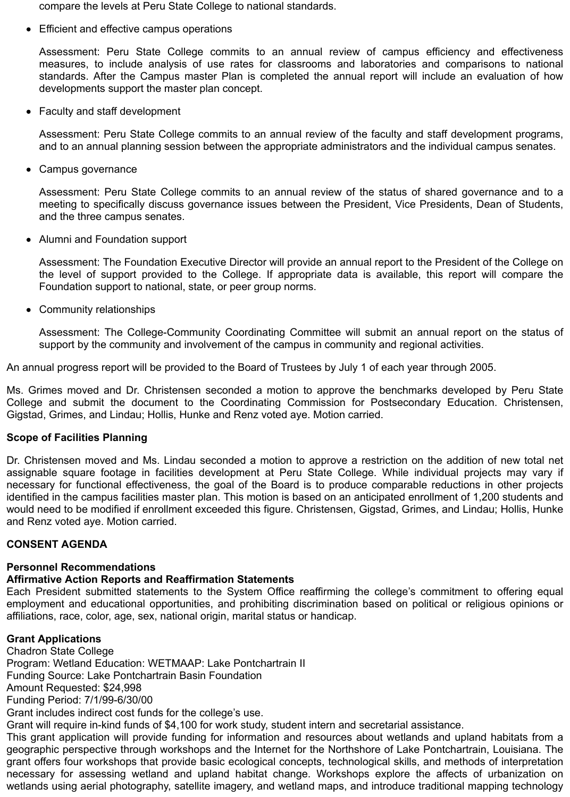compare the levels at Peru State College to national standards.

Efficient and effective campus operations

Assessment: Peru State College commits to an annual review of campus efficiency and effectiveness measures, to include analysis of use rates for classrooms and laboratories and comparisons to national standards. After the Campus master Plan is completed the annual report will include an evaluation of how developments support the master plan concept.

Faculty and staff development

Assessment: Peru State College commits to an annual review of the faculty and staff development programs, and to an annual planning session between the appropriate administrators and the individual campus senates.

Campus governance

Assessment: Peru State College commits to an annual review of the status of shared governance and to a meeting to specifically discuss governance issues between the President, Vice Presidents, Dean of Students, and the three campus senates.

Alumni and Foundation support

Assessment: The Foundation Executive Director will provide an annual report to the President of the College on the level of support provided to the College. If appropriate data is available, this report will compare the Foundation support to national, state, or peer group norms.

Community relationships  $\bullet$ 

Assessment: The College-Community Coordinating Committee will submit an annual report on the status of support by the community and involvement of the campus in community and regional activities.

An annual progress report will be provided to the Board of Trustees by July 1 of each year through 2005.

Ms. Grimes moved and Dr. Christensen seconded a motion to approve the benchmarks developed by Peru State College and submit the document to the Coordinating Commission for Postsecondary Education. Christensen, Gigstad, Grimes, and Lindau; Hollis, Hunke and Renz voted aye. Motion carried.

# **Scope of Facilities Planning**

Dr. Christensen moved and Ms. Lindau seconded a motion to approve a restriction on the addition of new total net assignable square footage in facilities development at Peru State College. While individual projects may vary if necessary for functional effectiveness, the goal of the Board is to produce comparable reductions in other projects identified in the campus facilities master plan. This motion is based on an anticipated enrollment of 1,200 students and would need to be modified if enrollment exceeded this figure. Christensen, Gigstad, Grimes, and Lindau; Hollis, Hunke and Renz voted aye. Motion carried.

# **CONSENT AGENDA**

# **Personnel Recommendations**

# **Affirmative Action Reports and Reaffirmation Statements**

Each President submitted statements to the System Office reaffirming the college's commitment to offering equal employment and educational opportunities, and prohibiting discrimination based on political or religious opinions or affiliations, race, color, age, sex, national origin, marital status or handicap.

necessary for assessing wetland and upland habitat change. Workshops explore the affects of urbanization on wetlands using aerial photography, satellite imagery, and wetland maps, and introduce traditional mapping technology

# **Grant Applications**

Chadron State College Program: Wetland Education: WETMAAP: Lake Pontchartrain II Funding Source: Lake Pontchartrain Basin Foundation Amount Requested: \$24,998 Funding Period: 7/1/99-6/30/00 Grant includes indirect cost funds for the college's use. Grant will require in-kind funds of \$4,100 for work study, student intern and secretarial assistance. This grant application will provide funding for information and resources about wetlands and upland habitats from a geographic perspective through workshops and the Internet for the Northshore of Lake Pontchartrain, Louisiana. The grant offers four workshops that provide basic ecological concepts, technological skills, and methods of interpretation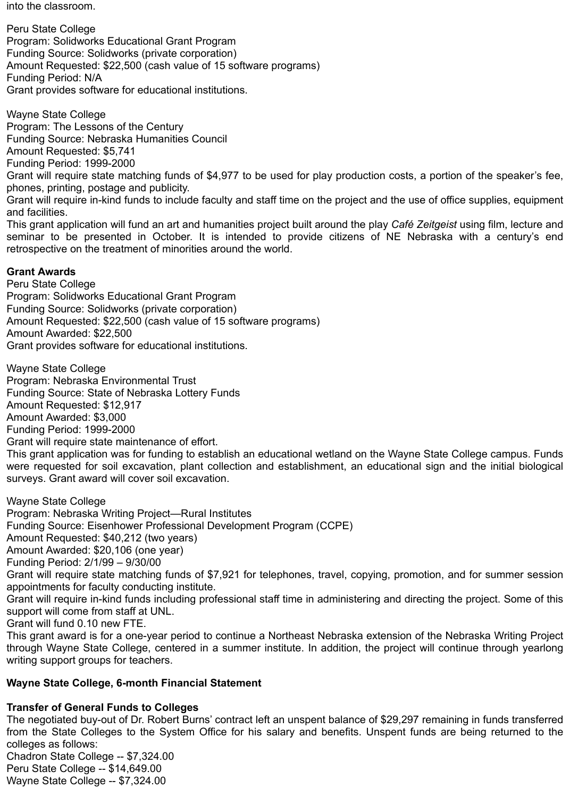into the classroom.

Peru State College Program: Solidworks Educational Grant Program Funding Source: Solidworks (private corporation) Amount Requested: \$22,500 (cash value of 15 software programs) Funding Period: N/A Grant provides software for educational institutions.

Wayne State College Program: The Lessons of the Century Funding Source: Nebraska Humanities Council Amount Requested: \$5,741 Funding Period: 1999-2000 Grant will require state matching funds of \$4,977 to be used for play production costs, a portion of the speaker's fee, phones, printing, postage and publicity. Grant will require in-kind funds to include faculty and staff time on the project and the use of office supplies, equipment and facilities.

This grant application will fund an art and humanities project built around the play *Café Zeitgeist* using film, lecture and seminar to be presented in October. It is intended to provide citizens of NE Nebraska with a century's end retrospective on the treatment of minorities around the world.

# **Grant Awards**

Peru State College Program: Solidworks Educational Grant Program Funding Source: Solidworks (private corporation) Amount Requested: \$22,500 (cash value of 15 software programs) Amount Awarded: \$22,500 Grant provides software for educational institutions.

Wayne State College Program: Nebraska Environmental Trust Funding Source: State of Nebraska Lottery Funds Amount Requested: \$12,917 Amount Awarded: \$3,000 Funding Period: 1999-2000 Grant will require state maintenance of effort. This grant application was for funding to establish an educational wetland on the Wayne State College campus. Funds were requested for soil excavation, plant collection and establishment, an educational sign and the initial biological surveys. Grant award will cover soil excavation.

Wayne State College Program: Nebraska Writing Project—Rural Institutes Funding Source: Eisenhower Professional Development Program (CCPE) Amount Requested: \$40,212 (two years) Amount Awarded: \$20,106 (one year) Funding Period: 2/1/99 – 9/30/00 Grant will require state matching funds of \$7,921 for telephones, travel, copying, promotion, and for summer session appointments for faculty conducting institute. Grant will require in-kind funds including professional staff time in administering and directing the project. Some of this support will come from staff at UNL. Grant will fund 0.10 new FTE. This grant award is for a one-year period to continue a Northeast Nebraska extension of the Nebraska Writing Project through Wayne State College, centered in a summer institute. In addition, the project will continue through yearlong writing support groups for teachers.

# **Wayne State College, 6-month Financial Statement**

# **Transfer of General Funds to Colleges**

The negotiated buy-out of Dr. Robert Burns' contract left an unspent balance of \$29,297 remaining in funds transferred from the State Colleges to the System Office for his salary and benefits. Unspent funds are being returned to the colleges as follows:

Chadron State College -- \$7,324.00 Peru State College -- \$14,649.00 Wayne State College -- \$7,324.00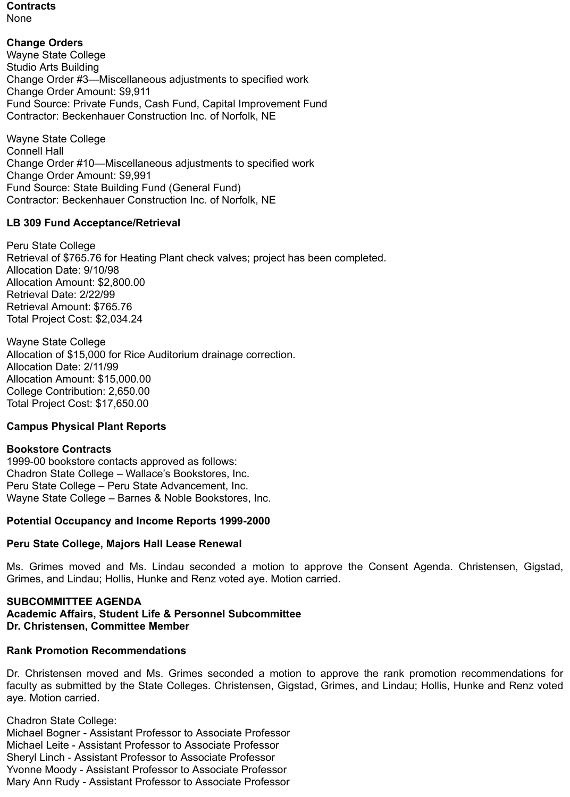#### **Contracts** None

# **Change Orders**

Wayne State College Studio Arts Building Change Order #3—Miscellaneous adjustments to specified work Change Order Amount: \$9,911 Fund Source: Private Funds, Cash Fund, Capital Improvement Fund Contractor: Beckenhauer Construction Inc. of Norfolk, NE

Wayne State College Connell Hall Change Order #10—Miscellaneous adjustments to specified work Change Order Amount: \$9,991 Fund Source: State Building Fund (General Fund) Contractor: Beckenhauer Construction Inc. of Norfolk, NE

# **LB 309 Fund Acceptance/Retrieval**

Peru State College Retrieval of \$765.76 for Heating Plant check valves; project has been completed. Allocation Date: 9/10/98 Allocation Amount: \$2,800.00 Retrieval Date: 2/22/99 Retrieval Amount: \$765.76 Total Project Cost: \$2,034.24

Wayne State College Allocation of \$15,000 for Rice Auditorium drainage correction. Allocation Date: 2/11/99 Allocation Amount: \$15,000.00 College Contribution: 2,650.00 Total Project Cost: \$17,650.00

# **Campus Physical Plant Reports**

# **Bookstore Contracts**

1999-00 bookstore contacts approved as follows: Chadron State College – Wallace's Bookstores, Inc. Peru State College – Peru State Advancement, Inc. Wayne State College – Barnes & Noble Bookstores, Inc.

# **Potential Occupancy and Income Reports 1999-2000**

# **Peru State College, Majors Hall Lease Renewal**

Ms. Grimes moved and Ms. Lindau seconded a motion to approve the Consent Agenda. Christensen, Gigstad, Grimes, and Lindau; Hollis, Hunke and Renz voted aye. Motion carried.

### **SUBCOMMITTEE AGENDA Academic Affairs, Student Life & Personnel Subcommittee Dr. Christensen, Committee Member**

# **Rank Promotion Recommendations**

Dr. Christensen moved and Ms. Grimes seconded a motion to approve the rank promotion recommendations for faculty as submitted by the State Colleges. Christensen, Gigstad, Grimes, and Lindau; Hollis, Hunke and Renz voted aye. Motion carried.

Chadron State College: Michael Bogner - Assistant Professor to Associate Professor Michael Leite - Assistant Professor to Associate Professor Sheryl Linch - Assistant Professor to Associate Professor Yvonne Moody - Assistant Professor to Associate Professor Mary Ann Rudy - Assistant Professor to Associate Professor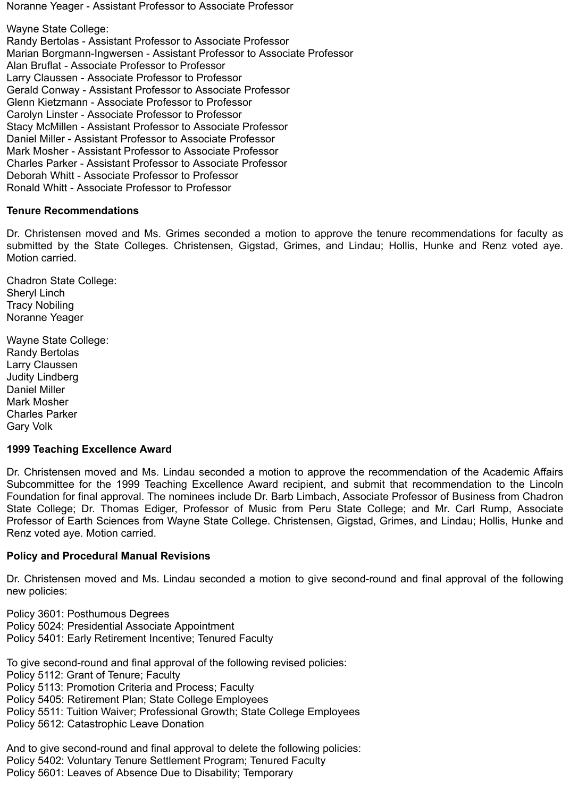Noranne Yeager - Assistant Professor to Associate Professor

Wayne State College: Randy Bertolas - Assistant Professor to Associate Professor Marian Borgmann-Ingwersen - Assistant Professor to Associate Professor Alan Bruflat - Associate Professor to Professor Larry Claussen - Associate Professor to Professor Gerald Conway - Assistant Professor to Associate Professor Glenn Kietzmann - Associate Professor to Professor Carolyn Linster - Associate Professor to Professor Stacy McMillen - Assistant Professor to Associate Professor Daniel Miller - Assistant Professor to Associate Professor Mark Mosher - Assistant Professor to Associate Professor Charles Parker - Assistant Professor to Associate Professor Deborah Whitt - Associate Professor to Professor Ronald Whitt - Associate Professor to Professor

#### **Tenure Recommendations**

Dr. Christensen moved and Ms. Grimes seconded a motion to approve the tenure recommendations for faculty as submitted by the State Colleges. Christensen, Gigstad, Grimes, and Lindau; Hollis, Hunke and Renz voted aye. Motion carried.

Chadron State College: Sheryl Linch Tracy Nobiling Noranne Yeager

Wayne State College: Randy Bertolas Larry Claussen Judity Lindberg Daniel Miller Mark Mosher Charles Parker Gary Volk

#### **1999 Teaching Excellence Award**

Dr. Christensen moved and Ms. Lindau seconded a motion to approve the recommendation of the Academic Affairs Subcommittee for the 1999 Teaching Excellence Award recipient, and submit that recommendation to the Lincoln Foundation for final approval. The nominees include Dr. Barb Limbach, Associate Professor of Business from Chadron State College; Dr. Thomas Ediger, Professor of Music from Peru State College; and Mr. Carl Rump, Associate Professor of Earth Sciences from Wayne State College. Christensen, Gigstad, Grimes, and Lindau; Hollis, Hunke and Renz voted aye. Motion carried.

#### **Policy and Procedural Manual Revisions**

Dr. Christensen moved and Ms. Lindau seconded a motion to give second-round and final approval of the following new policies:

Policy 3601: Posthumous Degrees Policy 5024: Presidential Associate Appointment Policy 5401: Early Retirement Incentive; Tenured Faculty

To give second-round and final approval of the following revised policies:

Policy 5112: Grant of Tenure; Faculty

Policy 5113: Promotion Criteria and Process; Faculty

Policy 5405: Retirement Plan; State College Employees

Policy 5511: Tuition Waiver; Professional Growth; State College Employees

Policy 5612: Catastrophic Leave Donation

And to give second-round and final approval to delete the following policies: Policy 5402: Voluntary Tenure Settlement Program; Tenured Faculty Policy 5601: Leaves of Absence Due to Disability; Temporary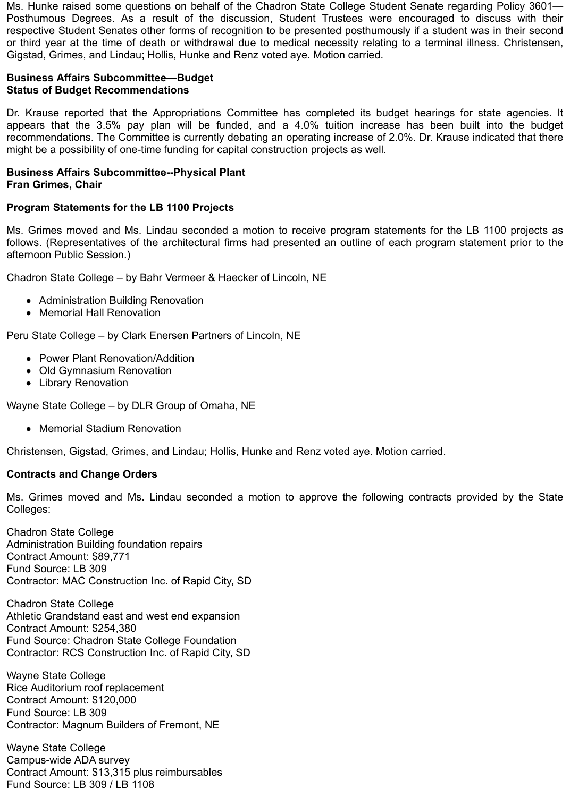Ms. Hunke raised some questions on behalf of the Chadron State College Student Senate regarding Policy 3601— Posthumous Degrees. As a result of the discussion, Student Trustees were encouraged to discuss with their respective Student Senates other forms of recognition to be presented posthumously if a student was in their second or third year at the time of death or withdrawal due to medical necessity relating to a terminal illness. Christensen, Gigstad, Grimes, and Lindau; Hollis, Hunke and Renz voted aye. Motion carried.

### **Business Affairs Subcommittee—Budget Status of Budget Recommendations**

Dr. Krause reported that the Appropriations Committee has completed its budget hearings for state agencies. It appears that the 3.5% pay plan will be funded, and a 4.0% tuition increase has been built into the budget recommendations. The Committee is currently debating an operating increase of 2.0%. Dr. Krause indicated that there might be a possibility of one-time funding for capital construction projects as well.

### **Business Affairs Subcommittee--Physical Plant Fran Grimes, Chair**

# **Program Statements for the LB 1100 Projects**

Ms. Grimes moved and Ms. Lindau seconded a motion to receive program statements for the LB 1100 projects as follows. (Representatives of the architectural firms had presented an outline of each program statement prior to the afternoon Public Session.)

Chadron State College – by Bahr Vermeer & Haecker of Lincoln, NE

- Administration Building Renovation
- Memorial Hall Renovation

Peru State College – by Clark Enersen Partners of Lincoln, NE

- Power Plant Renovation/Addition
- Old Gymnasium Renovation
- Library Renovation

Wayne State College – by DLR Group of Omaha, NE

• Memorial Stadium Renovation

Christensen, Gigstad, Grimes, and Lindau; Hollis, Hunke and Renz voted aye. Motion carried.

# **Contracts and Change Orders**

Ms. Grimes moved and Ms. Lindau seconded a motion to approve the following contracts provided by the State Colleges:

Chadron State College Administration Building foundation repairs Contract Amount: \$89,771 Fund Source: LB 309 Contractor: MAC Construction Inc. of Rapid City, SD

Chadron State College Athletic Grandstand east and west end expansion Contract Amount: \$254,380 Fund Source: Chadron State College Foundation Contractor: RCS Construction Inc. of Rapid City, SD

Wayne State College Rice Auditorium roof replacement Contract Amount: \$120,000 Fund Source: LB 309 Contractor: Magnum Builders of Fremont, NE

Wayne State College Campus-wide ADA survey Contract Amount: \$13,315 plus reimbursables Fund Source: LB 309 / LB 1108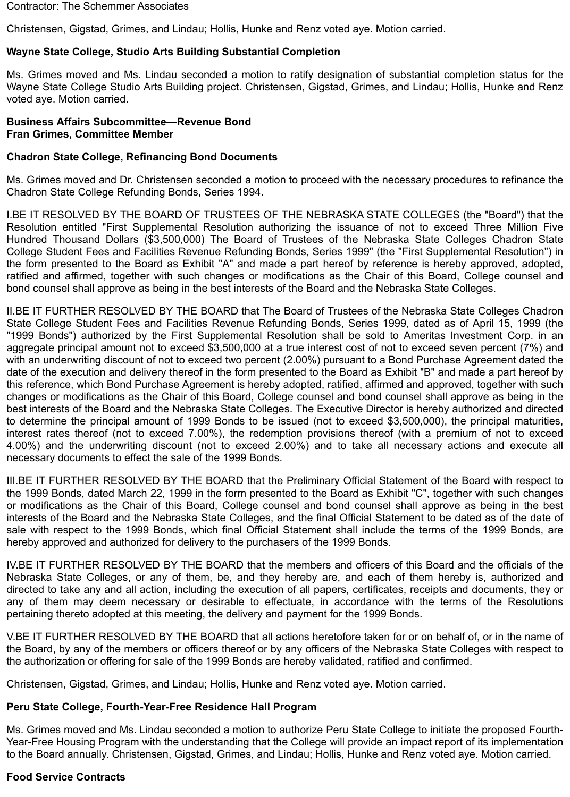Contractor: The Schemmer Associates

Christensen, Gigstad, Grimes, and Lindau; Hollis, Hunke and Renz voted aye. Motion carried.

# **Wayne State College, Studio Arts Building Substantial Completion**

Ms. Grimes moved and Ms. Lindau seconded a motion to ratify designation of substantial completion status for the Wayne State College Studio Arts Building project. Christensen, Gigstad, Grimes, and Lindau; Hollis, Hunke and Renz voted aye. Motion carried.

#### **Business Affairs Subcommittee—Revenue Bond Fran Grimes, Committee Member**

### **Chadron State College, Refinancing Bond Documents**

Ms. Grimes moved and Dr. Christensen seconded a motion to proceed with the necessary procedures to refinance the Chadron State College Refunding Bonds, Series 1994.

I.BE IT RESOLVED BY THE BOARD OF TRUSTEES OF THE NEBRASKA STATE COLLEGES (the "Board") that the Resolution entitled "First Supplemental Resolution authorizing the issuance of not to exceed Three Million Five Hundred Thousand Dollars (\$3,500,000) The Board of Trustees of the Nebraska State Colleges Chadron State College Student Fees and Facilities Revenue Refunding Bonds, Series 1999" (the "First Supplemental Resolution") in the form presented to the Board as Exhibit "A" and made a part hereof by reference is hereby approved, adopted, ratified and affirmed, together with such changes or modifications as the Chair of this Board, College counsel and bond counsel shall approve as being in the best interests of the Board and the Nebraska State Colleges.

II.BE IT FURTHER RESOLVED BY THE BOARD that The Board of Trustees of the Nebraska State Colleges Chadron State College Student Fees and Facilities Revenue Refunding Bonds, Series 1999, dated as of April 15, 1999 (the "1999 Bonds") authorized by the First Supplemental Resolution shall be sold to Ameritas Investment Corp. in an aggregate principal amount not to exceed \$3,500,000 at a true interest cost of not to exceed seven percent (7%) and with an underwriting discount of not to exceed two percent (2.00%) pursuant to a Bond Purchase Agreement dated the date of the execution and delivery thereof in the form presented to the Board as Exhibit "B" and made a part hereof by this reference, which Bond Purchase Agreement is hereby adopted, ratified, affirmed and approved, together with such changes or modifications as the Chair of this Board, College counsel and bond counsel shall approve as being in the best interests of the Board and the Nebraska State Colleges. The Executive Director is hereby authorized and directed to determine the principal amount of 1999 Bonds to be issued (not to exceed \$3,500,000), the principal maturities, interest rates thereof (not to exceed 7.00%), the redemption provisions thereof (with a premium of not to exceed 4.00%) and the underwriting discount (not to exceed 2.00%) and to take all necessary actions and execute all necessary documents to effect the sale of the 1999 Bonds.

III.BE IT FURTHER RESOLVED BY THE BOARD that the Preliminary Official Statement of the Board with respect to the 1999 Bonds, dated March 22, 1999 in the form presented to the Board as Exhibit "C", together with such changes or modifications as the Chair of this Board, College counsel and bond counsel shall approve as being in the best interests of the Board and the Nebraska State Colleges, and the final Official Statement to be dated as of the date of sale with respect to the 1999 Bonds, which final Official Statement shall include the terms of the 1999 Bonds, are hereby approved and authorized for delivery to the purchasers of the 1999 Bonds.

IV.BE IT FURTHER RESOLVED BY THE BOARD that the members and officers of this Board and the officials of the Nebraska State Colleges, or any of them, be, and they hereby are, and each of them hereby is, authorized and directed to take any and all action, including the execution of all papers, certificates, receipts and documents, they or any of them may deem necessary or desirable to effectuate, in accordance with the terms of the Resolutions pertaining thereto adopted at this meeting, the delivery and payment for the 1999 Bonds.

V.BE IT FURTHER RESOLVED BY THE BOARD that all actions heretofore taken for or on behalf of, or in the name of the Board, by any of the members or officers thereof or by any officers of the Nebraska State Colleges with respect to the authorization or offering for sale of the 1999 Bonds are hereby validated, ratified and confirmed.

Christensen, Gigstad, Grimes, and Lindau; Hollis, Hunke and Renz voted aye. Motion carried.

#### **Peru State College, Fourth-Year-Free Residence Hall Program**

Ms. Grimes moved and Ms. Lindau seconded a motion to authorize Peru State College to initiate the proposed Fourth-Year-Free Housing Program with the understanding that the College will provide an impact report of its implementation to the Board annually. Christensen, Gigstad, Grimes, and Lindau; Hollis, Hunke and Renz voted aye. Motion carried.

# **Food Service Contracts**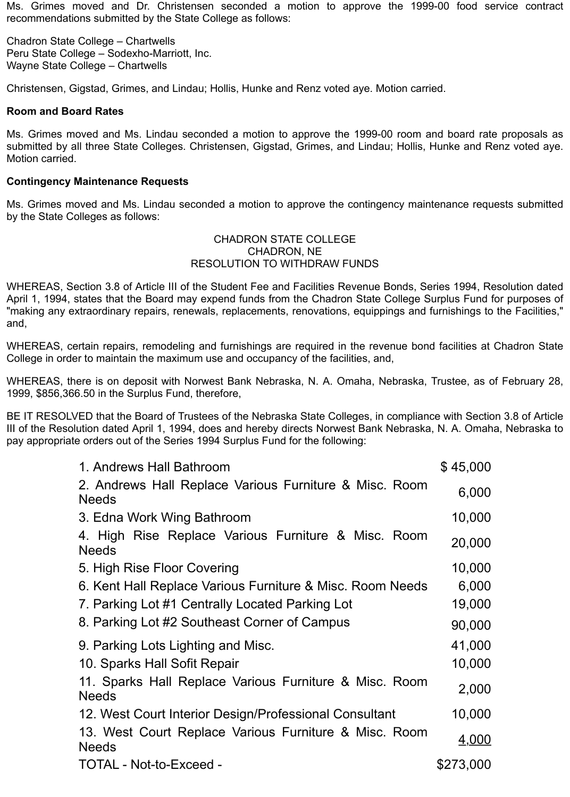Ms. Grimes moved and Dr. Christensen seconded a motion to approve the 1999-00 food service contract recommendations submitted by the State College as follows:

Chadron State College – Chartwells Peru State College – Sodexho-Marriott, Inc. Wayne State College – Chartwells

Christensen, Gigstad, Grimes, and Lindau; Hollis, Hunke and Renz voted aye. Motion carried.

# **Room and Board Rates**

Ms. Grimes moved and Ms. Lindau seconded a motion to approve the 1999-00 room and board rate proposals as submitted by all three State Colleges. Christensen, Gigstad, Grimes, and Lindau; Hollis, Hunke and Renz voted aye. Motion carried.

# **Contingency Maintenance Requests**

Ms. Grimes moved and Ms. Lindau seconded a motion to approve the contingency maintenance requests submitted by the State Colleges as follows:

### CHADRON STATE COLLEGE CHADRON, NE RESOLUTION TO WITHDRAW FUNDS

WHEREAS, Section 3.8 of Article III of the Student Fee and Facilities Revenue Bonds, Series 1994, Resolution dated April 1, 1994, states that the Board may expend funds from the Chadron State College Surplus Fund for purposes of "making any extraordinary repairs, renewals, replacements, renovations, equippings and furnishings to the Facilities," and,

WHEREAS, certain repairs, remodeling and furnishings are required in the revenue bond facilities at Chadron State College in order to maintain the maximum use and occupancy of the facilities, and,

WHEREAS, there is on deposit with Norwest Bank Nebraska, N. A. Omaha, Nebraska, Trustee, as of February 28, 1999, \$856,366.50 in the Surplus Fund, therefore,

BE IT RESOLVED that the Board of Trustees of the Nebraska State Colleges, in compliance with Section 3.8 of Article III of the Resolution dated April 1, 1994, does and hereby directs Norwest Bank Nebraska, N. A. Omaha, Nebraska to pay appropriate orders out of the Series 1994 Surplus Fund for the following:

| 1. Andrews Hall Bathroom                                               | \$45,000  |
|------------------------------------------------------------------------|-----------|
| 2. Andrews Hall Replace Various Furniture & Misc. Room<br><b>Needs</b> | 6,000     |
| 3. Edna Work Wing Bathroom                                             | 10,000    |
| 4. High Rise Replace Various Furniture & Misc. Room<br><b>Needs</b>    | 20,000    |
| 5. High Rise Floor Covering                                            | 10,000    |
| 6. Kent Hall Replace Various Furniture & Misc. Room Needs              | 6,000     |
| 7. Parking Lot #1 Centrally Located Parking Lot                        | 19,000    |
| 8. Parking Lot #2 Southeast Corner of Campus                           | 90,000    |
| 9. Parking Lots Lighting and Misc.                                     | 41,000    |
| 10. Sparks Hall Sofit Repair                                           | 10,000    |
| 11. Sparks Hall Replace Various Furniture & Misc. Room<br><b>Needs</b> | 2,000     |
| 12. West Court Interior Design/Professional Consultant                 | 10,000    |
| 13. West Court Replace Various Furniture & Misc. Room<br><b>Needs</b>  | 4,000     |
| TOTAL - Not-to-Exceed -                                                | \$273,000 |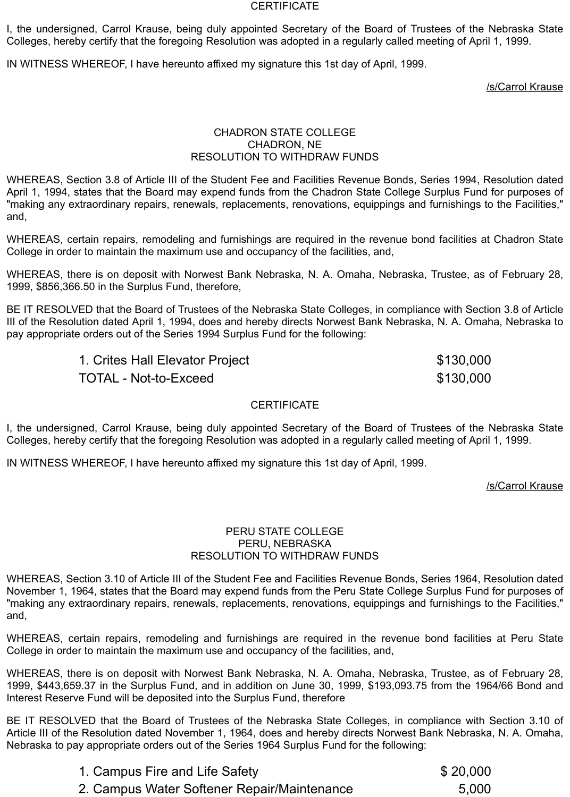#### **CERTIFICATE**

I, the undersigned, Carrol Krause, being duly appointed Secretary of the Board of Trustees of the Nebraska State Colleges, hereby certify that the foregoing Resolution was adopted in a regularly called meeting of April 1, 1999.

IN WITNESS WHEREOF, I have hereunto affixed my signature this 1st day of April, 1999.

/s/Carrol Krause

# CHADRON STATE COLLEGE CHADRON, NE RESOLUTION TO WITHDRAW FUNDS

WHEREAS, Section 3.8 of Article III of the Student Fee and Facilities Revenue Bonds, Series 1994, Resolution dated April 1, 1994, states that the Board may expend funds from the Chadron State College Surplus Fund for purposes of "making any extraordinary repairs, renewals, replacements, renovations, equippings and furnishings to the Facilities," and,

WHEREAS, certain repairs, remodeling and furnishings are required in the revenue bond facilities at Chadron State College in order to maintain the maximum use and occupancy of the facilities, and,

WHEREAS, there is on deposit with Norwest Bank Nebraska, N. A. Omaha, Nebraska, Trustee, as of February 28, 1999, \$856,366.50 in the Surplus Fund, therefore,

BE IT RESOLVED that the Board of Trustees of the Nebraska State Colleges, in compliance with Section 3.8 of Article III of the Resolution dated April 1, 1994, does and hereby directs Norwest Bank Nebraska, N. A. Omaha, Nebraska to pay appropriate orders out of the Series 1994 Surplus Fund for the following:

| 1. Crites Hall Elevator Project | \$130,000 |
|---------------------------------|-----------|
| TOTAL - Not-to-Exceed           | \$130,000 |

# **CERTIFICATE**

I, the undersigned, Carrol Krause, being duly appointed Secretary of the Board of Trustees of the Nebraska State Colleges, hereby certify that the foregoing Resolution was adopted in a regularly called meeting of April 1, 1999.

IN WITNESS WHEREOF, I have hereunto affixed my signature this 1st day of April, 1999.

/s/Carrol Krause

### PERU STATE COLLEGE PERU, NEBRASKA RESOLUTION TO WITHDRAW FUNDS

WHEREAS, Section 3.10 of Article III of the Student Fee and Facilities Revenue Bonds, Series 1964, Resolution dated November 1, 1964, states that the Board may expend funds from the Peru State College Surplus Fund for purposes of "making any extraordinary repairs, renewals, replacements, renovations, equippings and furnishings to the Facilities," and,

WHEREAS, certain repairs, remodeling and furnishings are required in the revenue bond facilities at Peru State College in order to maintain the maximum use and occupancy of the facilities, and,

WHEREAS, there is on deposit with Norwest Bank Nebraska, N. A. Omaha, Nebraska, Trustee, as of February 28, 1999, \$443,659.37 in the Surplus Fund, and in addition on June 30, 1999, \$193,093.75 from the 1964/66 Bond and Interest Reserve Fund will be deposited into the Surplus Fund, therefore

BE IT RESOLVED that the Board of Trustees of the Nebraska State Colleges, in compliance with Section 3.10 of Article III of the Resolution dated November 1, 1964, does and hereby directs Norwest Bank Nebraska, N. A. Omaha, Nebraska to pay appropriate orders out of the Series 1964 Surplus Fund for the following:

| 1. Campus Fire and Life Safety              | \$20,000 |
|---------------------------------------------|----------|
| 2. Campus Water Softener Repair/Maintenance | 5.000    |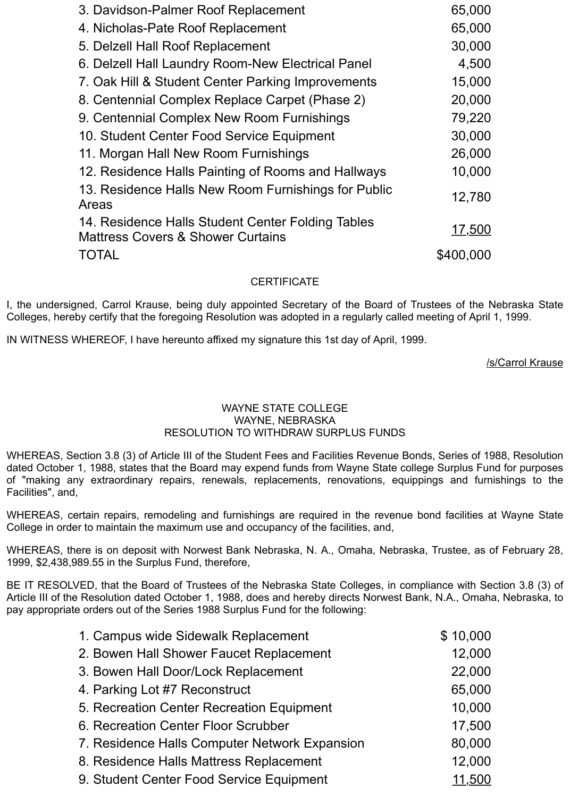| 3. Davidson-Palmer Roof Replacement                                                               | 65,000        |
|---------------------------------------------------------------------------------------------------|---------------|
| 4. Nicholas-Pate Roof Replacement                                                                 | 65,000        |
| 5. Delzell Hall Roof Replacement                                                                  | 30,000        |
| 6. Delzell Hall Laundry Room-New Electrical Panel                                                 | 4,500         |
| 7. Oak Hill & Student Center Parking Improvements                                                 | 15,000        |
| 8. Centennial Complex Replace Carpet (Phase 2)                                                    | 20,000        |
| 9. Centennial Complex New Room Furnishings                                                        | 79,220        |
| 10. Student Center Food Service Equipment                                                         | 30,000        |
| 11. Morgan Hall New Room Furnishings                                                              | 26,000        |
| 12. Residence Halls Painting of Rooms and Hallways                                                | 10,000        |
| 13. Residence Halls New Room Furnishings for Public<br>Areas                                      | 12,780        |
| 14. Residence Halls Student Center Folding Tables<br><b>Mattress Covers &amp; Shower Curtains</b> | <u>17,500</u> |
| TOTAL                                                                                             | \$400,000     |
|                                                                                                   |               |

# **CERTIFICATE**

I, the undersigned, Carrol Krause, being duly appointed Secretary of the Board of Trustees of the Nebraska State Colleges, hereby certify that the foregoing Resolution was adopted in a regularly called meeting of April 1, 1999.

IN WITNESS WHEREOF, I have hereunto affixed my signature this 1st day of April, 1999.

/s/Carrol Krause

# WAYNE STATE COLLEGE WAYNE, NEBRASKA RESOLUTION TO WITHDRAW SURPLUS FUNDS

WHEREAS, Section 3.8 (3) of Article III of the Student Fees and Facilities Revenue Bonds, Series of 1988, Resolution dated October 1, 1988, states that the Board may expend funds from Wayne State college Surplus Fund for purposes of "making any extraordinary repairs, renewals, replacements, renovations, equippings and furnishings to the Facilities", and,

WHEREAS, certain repairs, remodeling and furnishings are required in the revenue bond facilities at Wayne State College in order to maintain the maximum use and occupancy of the facilities, and,

WHEREAS, there is on deposit with Norwest Bank Nebraska, N. A., Omaha, Nebraska, Trustee, as of February 28, 1999, \$2,438,989.55 in the Surplus Fund, therefore,

BE IT RESOLVED, that the Board of Trustees of the Nebraska State Colleges, in compliance with Section 3.8 (3) of Article III of the Resolution dated October 1, 1988, does and hereby directs Norwest Bank, N.A., Omaha, Nebraska, to pay appropriate orders out of the Series 1988 Surplus Fund for the following:

| 1. Campus wide Sidewalk Replacement                                                            | \$10,000                                |
|------------------------------------------------------------------------------------------------|-----------------------------------------|
| 2. Bowen Hall Shower Faucet Replacement                                                        | 12,000                                  |
| 3. Bowen Hall Door/Lock Replacement                                                            | 22,000                                  |
| 4. Parking Lot #7 Reconstruct                                                                  | 65,000                                  |
| 5. Recreation Center Recreation Equipment                                                      | 10,000                                  |
| 6. Recreation Center Floor Scrubber                                                            | 17,500                                  |
| 7. Residence Halls Computer Network Expansion                                                  | 80,000                                  |
| 8. Residence Halls Mattress Replacement                                                        | 12,000                                  |
| $\Omega$ , $\Omega$ is the $\Omega$ contract of the state of $\Omega$ is the state of $\Omega$ | $\lambda$ $\lambda$ $\lambda$ $\lambda$ |

9. Student Center Food Service Equipment 11,500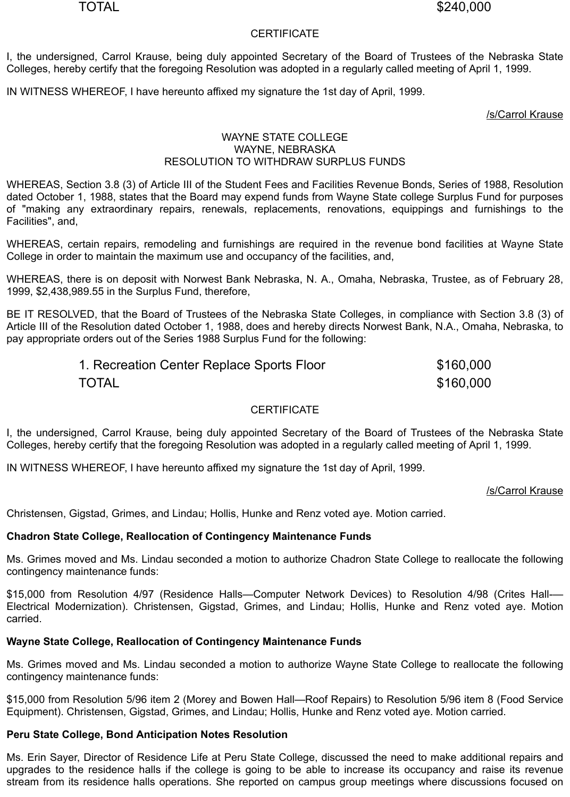# **CERTIFICATE**

I, the undersigned, Carrol Krause, being duly appointed Secretary of the Board of Trustees of the Nebraska State Colleges, hereby certify that the foregoing Resolution was adopted in a regularly called meeting of April 1, 1999.

IN WITNESS WHEREOF, I have hereunto affixed my signature the 1st day of April, 1999.

/s/Carrol Krause

### WAYNE STATE COLLEGE WAYNE, NEBRASKA RESOLUTION TO WITHDRAW SURPLUS FUNDS

WHEREAS, Section 3.8 (3) of Article III of the Student Fees and Facilities Revenue Bonds, Series of 1988, Resolution dated October 1, 1988, states that the Board may expend funds from Wayne State college Surplus Fund for purposes of "making any extraordinary repairs, renewals, replacements, renovations, equippings and furnishings to the Facilities", and,

WHEREAS, certain repairs, remodeling and furnishings are required in the revenue bond facilities at Wayne State College in order to maintain the maximum use and occupancy of the facilities, and,

WHEREAS, there is on deposit with Norwest Bank Nebraska, N. A., Omaha, Nebraska, Trustee, as of February 28, 1999, \$2,438,989.55 in the Surplus Fund, therefore,

BE IT RESOLVED, that the Board of Trustees of the Nebraska State Colleges, in compliance with Section 3.8 (3) of Article III of the Resolution dated October 1, 1988, does and hereby directs Norwest Bank, N.A., Omaha, Nebraska, to pay appropriate orders out of the Series 1988 Surplus Fund for the following:

| 1. Recreation Center Replace Sports Floor | \$160,000 |
|-------------------------------------------|-----------|
| <b>TOTAL</b>                              | \$160,000 |

# **CERTIFICATE**

I, the undersigned, Carrol Krause, being duly appointed Secretary of the Board of Trustees of the Nebraska State Colleges, hereby certify that the foregoing Resolution was adopted in a regularly called meeting of April 1, 1999.

IN WITNESS WHEREOF, I have hereunto affixed my signature the 1st day of April, 1999.

# /s/Carrol Krause

Christensen, Gigstad, Grimes, and Lindau; Hollis, Hunke and Renz voted aye. Motion carried.

# **Chadron State College, Reallocation of Contingency Maintenance Funds**

Ms. Grimes moved and Ms. Lindau seconded a motion to authorize Chadron State College to reallocate the following contingency maintenance funds:

\$15,000 from Resolution 4/97 (Residence Halls—Computer Network Devices) to Resolution 4/98 (Crites Hall-— Electrical Modernization). Christensen, Gigstad, Grimes, and Lindau; Hollis, Hunke and Renz voted aye. Motion carried.

# **Wayne State College, Reallocation of Contingency Maintenance Funds**

Ms. Grimes moved and Ms. Lindau seconded a motion to authorize Wayne State College to reallocate the following contingency maintenance funds:

\$15,000 from Resolution 5/96 item 2 (Morey and Bowen Hall—Roof Repairs) to Resolution 5/96 item 8 (Food Service Equipment). Christensen, Gigstad, Grimes, and Lindau; Hollis, Hunke and Renz voted aye. Motion carried.

# **Peru State College, Bond Anticipation Notes Resolution**

Ms. Erin Sayer, Director of Residence Life at Peru State College, discussed the need to make additional repairs and upgrades to the residence halls if the college is going to be able to increase its occupancy and raise its revenue stream from its residence halls operations. She reported on campus group meetings where discussions focused on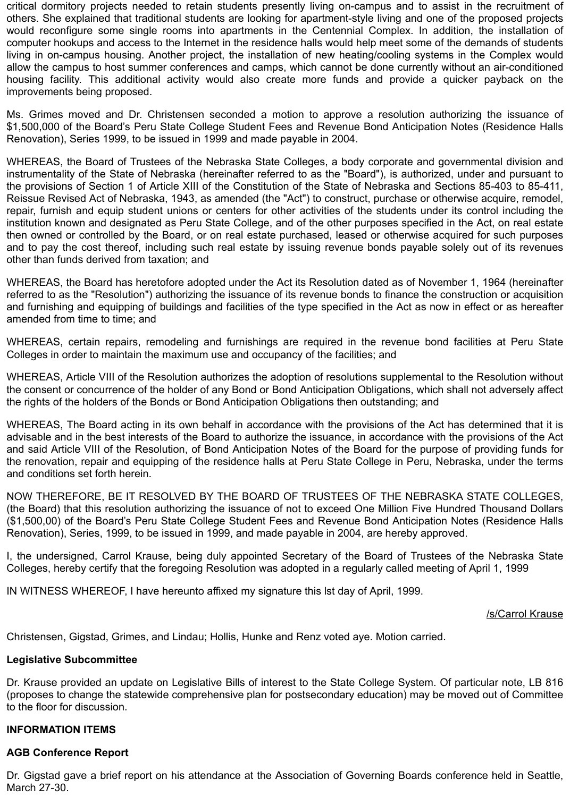critical dormitory projects needed to retain students presently living on-campus and to assist in the recruitment of others. She explained that traditional students are looking for apartment-style living and one of the proposed projects would reconfigure some single rooms into apartments in the Centennial Complex. In addition, the installation of computer hookups and access to the Internet in the residence halls would help meet some of the demands of students living in on-campus housing. Another project, the installation of new heating/cooling systems in the Complex would allow the campus to host summer conferences and camps, which cannot be done currently without an air-conditioned housing facility. This additional activity would also create more funds and provide a quicker payback on the improvements being proposed.

Ms. Grimes moved and Dr. Christensen seconded a motion to approve a resolution authorizing the issuance of \$1,500,000 of the Board's Peru State College Student Fees and Revenue Bond Anticipation Notes (Residence Halls Renovation), Series 1999, to be issued in 1999 and made payable in 2004.

WHEREAS, the Board of Trustees of the Nebraska State Colleges, a body corporate and governmental division and instrumentality of the State of Nebraska (hereinafter referred to as the "Board"), is authorized, under and pursuant to the provisions of Section 1 of Article XIII of the Constitution of the State of Nebraska and Sections 85-403 to 85-411, Reissue Revised Act of Nebraska, 1943, as amended (the "Act") to construct, purchase or otherwise acquire, remodel, repair, furnish and equip student unions or centers for other activities of the students under its control including the institution known and designated as Peru State College, and of the other purposes specified in the Act, on real estate then owned or controlled by the Board, or on real estate purchased, leased or otherwise acquired for such purposes and to pay the cost thereof, including such real estate by issuing revenue bonds payable solely out of its revenues other than funds derived from taxation; and

WHEREAS, the Board has heretofore adopted under the Act its Resolution dated as of November 1, 1964 (hereinafter referred to as the "Resolution") authorizing the issuance of its revenue bonds to finance the construction or acquisition and furnishing and equipping of buildings and facilities of the type specified in the Act as now in effect or as hereafter amended from time to time; and

WHEREAS, certain repairs, remodeling and furnishings are required in the revenue bond facilities at Peru State Colleges in order to maintain the maximum use and occupancy of the facilities; and

WHEREAS, Article VIII of the Resolution authorizes the adoption of resolutions supplemental to the Resolution without the consent or concurrence of the holder of any Bond or Bond Anticipation Obligations, which shall not adversely affect the rights of the holders of the Bonds or Bond Anticipation Obligations then outstanding; and

WHEREAS, The Board acting in its own behalf in accordance with the provisions of the Act has determined that it is advisable and in the best interests of the Board to authorize the issuance, in accordance with the provisions of the Act and said Article VIII of the Resolution, of Bond Anticipation Notes of the Board for the purpose of providing funds for the renovation, repair and equipping of the residence halls at Peru State College in Peru, Nebraska, under the terms and conditions set forth herein.

NOW THEREFORE, BE IT RESOLVED BY THE BOARD OF TRUSTEES OF THE NEBRASKA STATE COLLEGES, (the Board) that this resolution authorizing the issuance of not to exceed One Million Five Hundred Thousand Dollars (\$1,500,00) of the Board's Peru State College Student Fees and Revenue Bond Anticipation Notes (Residence Halls Renovation), Series, 1999, to be issued in 1999, and made payable in 2004, are hereby approved.

I, the undersigned, Carrol Krause, being duly appointed Secretary of the Board of Trustees of the Nebraska State Colleges, hereby certify that the foregoing Resolution was adopted in a regularly called meeting of April 1, 1999

IN WITNESS WHEREOF, I have hereunto affixed my signature this lst day of April, 1999.

/s/Carrol Krause

Christensen, Gigstad, Grimes, and Lindau; Hollis, Hunke and Renz voted aye. Motion carried.

#### **Legislative Subcommittee**

Dr. Krause provided an update on Legislative Bills of interest to the State College System. Of particular note, LB 816 (proposes to change the statewide comprehensive plan for postsecondary education) may be moved out of Committee to the floor for discussion.

#### **INFORMATION ITEMS**

# **AGB Conference Report**

Dr. Gigstad gave a brief report on his attendance at the Association of Governing Boards conference held in Seattle, March 27-30.